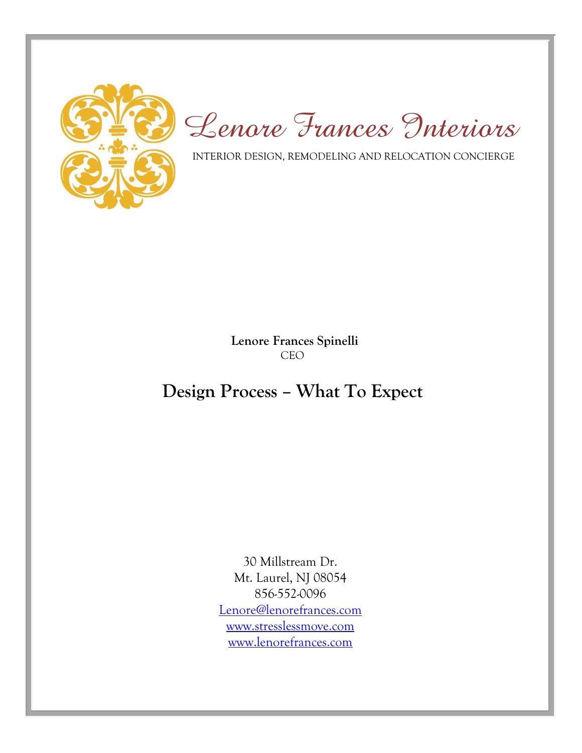

*Lenore Frances Interiors*

INTERIOR DESIGN, REMODELING AND RELOCATION CONCIERGE

 **Lenore Frances Spinelli** CEO

## **Design Process – What To Expect**

30 Millstream Dr. Mt. Laurel, NJ 08054 856-552-0096 [Lenore@lenorefrances.com](mailto:Lenore@lenorefrances.com) [www.stresslessmove.com](http://www.stresslessmove.com/) [www.lenorefrances.com](http://www.lenorefrances.com/)